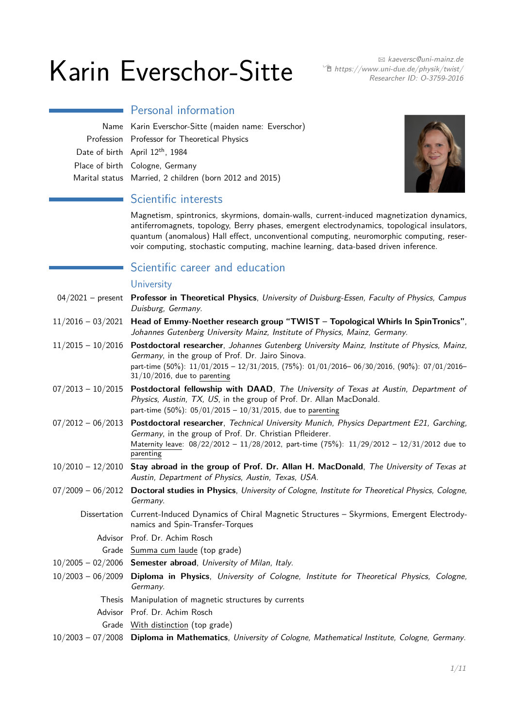# $Karin$  Everschor-Sitte  $Karin$  B https://www.uni-due.de/physik/twist/

 $\widehat{\mathbb{E}}$  [https://www.uni-due.de/physik/twist/](http://https://www.uni-due.de/physik/twist/) Researcher ID: [O-3759-2016](https://publons.com/researcher/O-3759-2016)

Name Karin Everschor-Sitte (maiden name: Everschor) Profession Professor for Theoretical Physics Date of birth April 12<sup>th</sup>, 1984 Place of birth Cologne, Germany Marital status Married, 2 children (born 2012 and 2015)

Personal information



# Scientific interests

Magnetism, spintronics, skyrmions, domain-walls, current-induced magnetization dynamics, antiferromagnets, topology, Berry phases, emergent electrodynamics, topological insulators, quantum (anomalous) Hall effect, unconventional computing, neuromorphic computing, reservoir computing, stochastic computing, machine learning, data-based driven inference.

# Scientific career and education

#### **University**

|                     | 04/2021 - present Professor in Theoretical Physics, University of Duisburg-Essen, Faculty of Physics, Campus<br>Duisburg, Germany.                                                                                                                                                                |
|---------------------|---------------------------------------------------------------------------------------------------------------------------------------------------------------------------------------------------------------------------------------------------------------------------------------------------|
| $11/2016 - 03/2021$ | Head of Emmy-Noether research group "TWIST - Topological Whirls In SpinTronics",<br>Johannes Gutenberg University Mainz, Institute of Physics, Mainz, Germany.                                                                                                                                    |
|                     | 11/2015 - 10/2016 Postdoctoral researcher, Johannes Gutenberg University Mainz, Institute of Physics, Mainz,<br>Germany, in the group of Prof. Dr. Jairo Sinova.<br>part-time (50%): 11/01/2015 - 12/31/2015, (75%): 01/01/2016-06/30/2016, (90%): 07/01/2016-<br>$31/10/2016$ , due to parenting |
| $07/2013 - 10/2015$ | Postdoctoral fellowship with DAAD, The University of Texas at Austin, Department of<br>Physics, Austin, TX, US, in the group of Prof. Dr. Allan MacDonald.<br>part-time (50%): $05/01/2015 - 10/31/2015$ , due to parenting                                                                       |
| $07/2012 - 06/2013$ | Postdoctoral researcher, Technical University Munich, Physics Department E21, Garching,<br>Germany, in the group of Prof. Dr. Christian Pfleiderer.<br>Maternity leave: 08/22/2012 - 11/28/2012, part-time (75%): 11/29/2012 - 12/31/2012 due to<br>parenting                                     |
|                     | $10/2010 - 12/2010$ Stay abroad in the group of Prof. Dr. Allan H. MacDonald, The University of Texas at<br>Austin, Department of Physics, Austin, Texas, USA.                                                                                                                                    |
|                     | 07/2009 - 06/2012 Doctoral studies in Physics, University of Cologne, Institute for Theoretical Physics, Cologne,<br>Germany.                                                                                                                                                                     |
| Dissertation        | Current-Induced Dynamics of Chiral Magnetic Structures - Skyrmions, Emergent Electrody-<br>namics and Spin-Transfer-Torques                                                                                                                                                                       |
|                     | Advisor Prof. Dr. Achim Rosch                                                                                                                                                                                                                                                                     |
|                     | Grade Summa cum laude (top grade)                                                                                                                                                                                                                                                                 |
|                     | $10/2005 - 02/2006$ Semester abroad, University of Milan, Italy.                                                                                                                                                                                                                                  |
| $10/2003 - 06/2009$ | Diploma in Physics, University of Cologne, Institute for Theoretical Physics, Cologne,<br>Germany.                                                                                                                                                                                                |
|                     | Thesis Manipulation of magnetic structures by currents                                                                                                                                                                                                                                            |
|                     | Advisor Prof. Dr. Achim Rosch                                                                                                                                                                                                                                                                     |
|                     | Grade With distinction (top grade)                                                                                                                                                                                                                                                                |

10/2003 – 07/2008 **Diploma in Mathematics**, University of Cologne, Mathematical Institute, Cologne, Germany.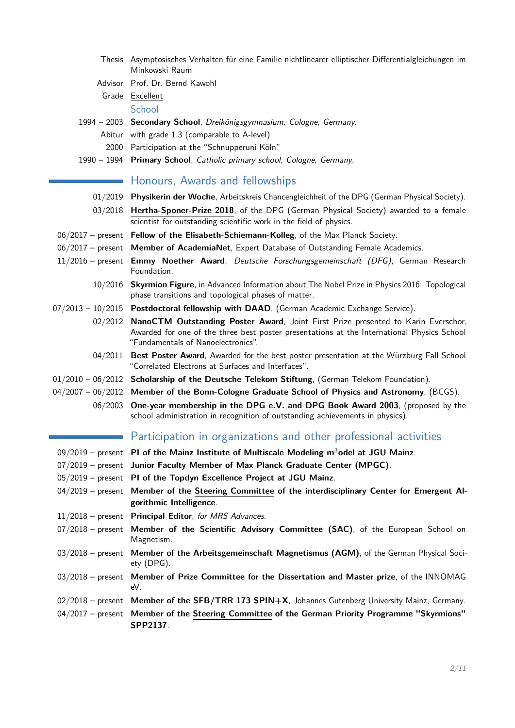|                     | Thesis Asymptosisches Verhalten für eine Familie nichtlinearer elliptischer Differentialgleichungen im                                                         |
|---------------------|----------------------------------------------------------------------------------------------------------------------------------------------------------------|
|                     | Minkowski Raum                                                                                                                                                 |
|                     | Advisor Prof. Dr. Bernd Kawohl                                                                                                                                 |
|                     | Grade Excellent                                                                                                                                                |
|                     | School                                                                                                                                                         |
|                     | 1994 - 2003 Secondary School, Dreikönigsgymnasium, Cologne, Germany.                                                                                           |
|                     | Abitur with grade 1.3 (comparable to A-level)                                                                                                                  |
|                     | 2000 Participation at the "Schnupperuni Köln"                                                                                                                  |
|                     | 1990 - 1994 Primary School, Catholic primary school, Cologne, Germany.                                                                                         |
|                     | Honours, Awards and fellowships                                                                                                                                |
| 01/2019             | Physikerin der Woche, Arbeitskreis Chancengleichheit of the DPG (German Physical Society).                                                                     |
|                     | 03/2018 Hertha-Sponer-Prize 2018, of the DPG (German Physical Society) awarded to a female                                                                     |
|                     | scientist for outstanding scientific work in the field of physics.                                                                                             |
|                     | 06/2017 - present Fellow of the Elisabeth-Schiemann-Kolleg, of the Max Planck Society.                                                                         |
|                     | 06/2017 - present Member of AcademiaNet, Expert Database of Outstanding Female Academics.                                                                      |
|                     | 11/2016 - present Emmy Noether Award, Deutsche Forschungsgemeinschaft (DFG), German Research<br>Foundation.                                                    |
| 10/2016             | Skyrmion Figure, in Advanced Information about The Nobel Prize in Physics 2016: Topological<br>phase transitions and topological phases of matter.             |
|                     | $07/2013 - 10/2015$ Postdoctoral fellowship with DAAD, (German Academic Exchange Service).                                                                     |
| 02/2012             | NanoCTM Outstanding Poster Award, Joint First Prize presented to Karin Everschor,                                                                              |
|                     | Awarded for one of the three best poster presentations at the International Physics School<br>"Fundamentals of Nanoelectronics".                               |
| 04/2011             | Best Poster Award, Awarded for the best poster presentation at the Würzburg Fall School<br>"Correlated Electrons at Surfaces and Interfaces".                  |
|                     | 01/2010 - 06/2012 Scholarship of the Deutsche Telekom Stiftung, (German Telekom Foundation).                                                                   |
|                     | $04/2007 - 06/2012$ Member of the Bonn-Cologne Graduate School of Physics and Astronomy, (BCGS).                                                               |
| 06/2003             | One-year membership in the DPG e.V. and DPG Book Award 2003, (proposed by the<br>school administration in recognition of outstanding achievements in physics). |
|                     | Participation in organizations and other professional activities                                                                                               |
|                     | $09/2019$ – present PI of the Mainz Institute of Multiscale Modeling m <sup>3</sup> odel at JGU Mainz.                                                         |
|                     | 07/2019 - present Junior Faculty Member of Max Planck Graduate Center (MPGC).                                                                                  |
|                     | 05/2019 - present PI of the Topdyn Excellence Project at JGU Mainz.                                                                                            |
|                     | 04/2019 - present Member of the Steering Committee of the interdisciplinary Center for Emergent Al-<br>gorithmic Intelligence.                                 |
|                     | 11/2018 - present Principal Editor, for MRS Advances.                                                                                                          |
| $07/2018$ - present | Member of the Scientific Advisory Committee (SAC), of the European School on                                                                                   |
|                     | Magnetism.                                                                                                                                                     |
| $03/2018$ – present | Member of the Arbeitsgemeinschaft Magnetismus (AGM), of the German Physical Soci-<br>$ety$ (DPG).                                                              |
| $03/2018$ – present | Member of Prize Committee for the Dissertation and Master prize, of the INNOMAG<br>eV.                                                                         |
|                     | $02/2018$ – present Member of the SFB/TRR 173 SPIN+X, Johannes Gutenberg University Mainz, Germany.                                                            |
|                     | 04/2017 - present Member of the Steering Committee of the German Priority Programme "Skyrmions"<br>SPP2137.                                                    |

2[/11](#page-10-0)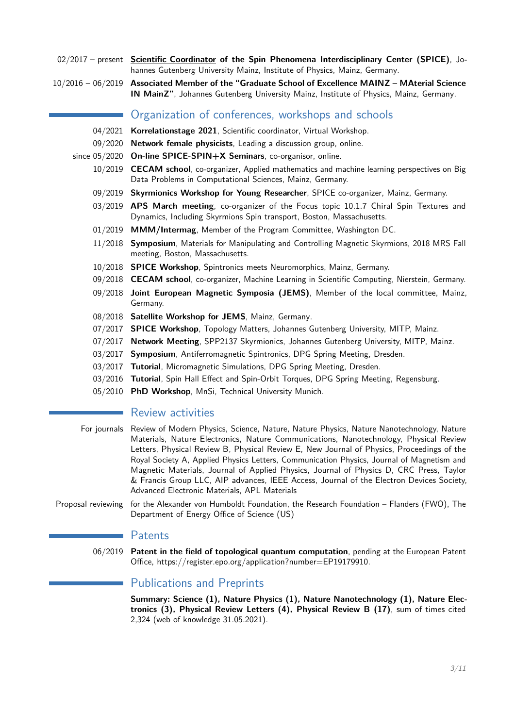- 02/2017 present **Scientific Coordinator of the Spin Phenomena Interdisciplinary Center (SPICE)**, Johannes Gutenberg University Mainz, Institute of Physics, Mainz, Germany.
- 10/2016 06/2019 **Associated Member of the "Graduate School of Excellence MAINZ MAterial Science IN MainZ"**, Johannes Gutenberg University Mainz, Institute of Physics, Mainz, Germany.

## Organization of conferences, workshops and schools

- 04/2021 **Korrelationstage 2021**, Scientific coordinator, Virtual Workshop.
- 09/2020 **Network female physicists**, Leading a discussion group, online.
- since 05/2020 **On-line SPICE-SPIN+X Seminars**, co-organisor, online.
	- 10/2019 **CECAM school**, co-organizer, Applied mathematics and machine learning perspectives on Big Data Problems in Computational Sciences, Mainz, Germany.
	- 09/2019 **Skyrmionics Workshop for Young Researcher**, SPICE co-organizer, Mainz, Germany.
	- 03/2019 **APS March meeting**, co-organizer of the Focus topic 10.1.7 Chiral Spin Textures and Dynamics, Including Skyrmions Spin transport, Boston, Massachusetts.
	- 01/2019 **MMM/Intermag**, Member of the Program Committee, Washington DC.
	- 11/2018 **Symposium**, Materials for Manipulating and Controlling Magnetic Skyrmions, 2018 MRS Fall meeting, Boston, Massachusetts.
	- 10/2018 **SPICE Workshop**, Spintronics meets Neuromorphics, Mainz, Germany.
	- 09/2018 **CECAM school**, co-organizer, Machine Learning in Scientific Computing, Nierstein, Germany.
	- 09/2018 **Joint European Magnetic Symposia (JEMS)**, Member of the local committee, Mainz, Germany.
	- 08/2018 **Satellite Workshop for JEMS**, Mainz, Germany.
	- 07/2017 **SPICE Workshop**, Topology Matters, Johannes Gutenberg University, MITP, Mainz.
	- 07/2017 **Network Meeting**, SPP2137 Skyrmionics, Johannes Gutenberg University, MITP, Mainz.
	- 03/2017 **Symposium**, Antiferromagnetic Spintronics, DPG Spring Meeting, Dresden.
	- 03/2017 **Tutorial**, Micromagnetic Simulations, DPG Spring Meeting, Dresden.
	- 03/2016 **Tutorial**, Spin Hall Effect and Spin-Orbit Torques, DPG Spring Meeting, Regensburg.
	- 05/2010 **PhD Workshop**, MnSi, Technical University Munich.

## Review activities

- For journals Review of Modern Physics, Science, Nature, Nature Physics, Nature Nanotechnology, Nature Materials, Nature Electronics, Nature Communications, Nanotechnology, Physical Review Letters, Physical Review B, Physical Review E, New Journal of Physics, Proceedings of the Royal Society A, Applied Physics Letters, Communication Physics, Journal of Magnetism and Magnetic Materials, Journal of Applied Physics, Journal of Physics D, CRC Press, Taylor & Francis Group LLC, AIP advances, IEEE Access, Journal of the Electron Devices Society, Advanced Electronic Materials, APL Materials
- Proposal reviewing for the Alexander von Humboldt Foundation, the Research Foundation Flanders (FWO), The Department of Energy Office of Science (US)

## Patents

06/2019 **Patent in the field of topological quantum computation**, pending at the European Patent Office, https://register.epo.org/application?number=EP19179910.

# Publications and Preprints

**Summary: Science (1), Nature Physics (1), Nature Nanotechnology (1), Nature Electronics (3), Physical Review Letters (4), Physical Review B (17)**, sum of times cited 2,324 (web of knowledge 31.05.2021).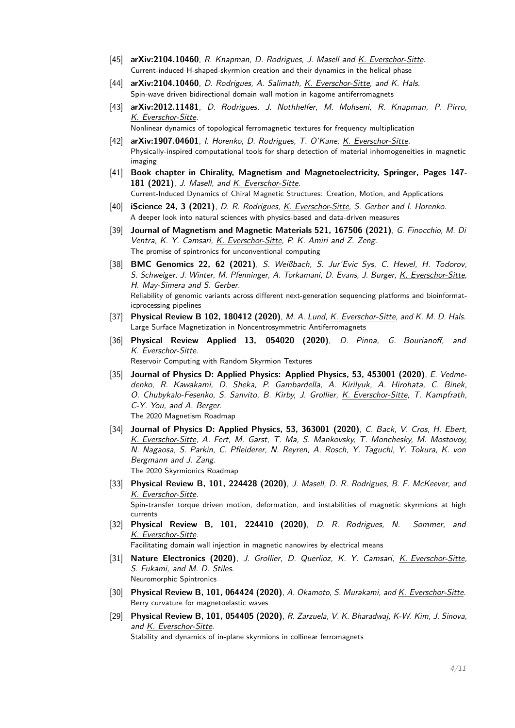- [45] **arXiv:2104.10460**, R. Knapman, D. Rodrigues, J. Masell and K. Everschor-Sitte. Current-induced H-shaped-skyrmion creation and their dynamics in the helical phase
- [44] **arXiv:2104.10460**, D. Rodrigues, A. Salimath, K. Everschor-Sitte, and K. Hals. Spin-wave driven bidirectional domain wall motion in kagome antiferromagnets
- [43] **arXiv:2012.11481**, D. Rodrigues, J. Nothhelfer, M. Mohseni, R. Knapman, P. Pirro, K. Everschor-Sitte. Nonlinear dynamics of topological ferromagnetic textures for frequency multiplication
- [42] **arXiv:1907.04601**, I. Horenko, D. Rodrigues, T. O'Kane, K. Everschor-Sitte. Physically-inspired computational tools for sharp detection of material inhomogeneities in magnetic imaging
- [41] **Book chapter in Chirality, Magnetism and Magnetoelectricity, Springer, Pages 147- 181 (2021)**, J. Masell, and <u>K. Everschor-Sitte</u>. Current-Induced Dynamics of Chiral Magnetic Structures: Creation, Motion, and Applications
- [40] **iScience 24, 3 (2021)**, D. R. Rodrigues, K. Everschor-Sitte, S. Gerber and I. Horenko. A deeper look into natural sciences with physics-based and data-driven measures
- [39] **Journal of Magnetism and Magnetic Materials 521, 167506 (2021)**, G. Finocchio, M. Di Ventra, K. Y. Camsari, K. Everschor-Sitte, P. K. Amiri and Z. Zeng. The promise of spintronics for unconventional computing
- [38] **BMC Genomics 22, 62 (2021)**, S. Weißbach, S. Jur'Evic Sys, C. Hewel, H. Todorov, S. Schweiger, J. Winter, M. Pfenninger, A. Torkamani, D. Evans, J. Burger, K. Everschor-Sitte, H. May-Simera and S. Gerber. Reliability of genomic variants across different next-generation sequencing platforms and bioinformaticprocessing pipelines
- [37] **Physical Review B 102, 180412 (2020)**, M. A. Lund, K. Everschor-Sitte, and K. M. D. Hals. Large Surface Magnetization in Noncentrosymmetric Antiferromagnets
- [36] **Physical Review Applied 13, 054020 (2020)**, D. Pinna, G. Bourianoff, and K. Everschor-Sitte. Reservoir Computing with Random Skyrmion Textures
- [35] **Journal of Physics D: Applied Physics: Applied Physics, 53, 453001 (2020)**, E. Vedmedenko, R. Kawakami, D. Sheka, P. Gambardella, A. Kirilyuk, A. Hirohata, C. Binek, O. Chubykalo-Fesenko, S. Sanvito, B. Kirby, J. Grollier, K. Everschor-Sitte, T. Kampfrath, C-Y. You, and A. Berger. The 2020 Magnetism Roadmap
- [34] **Journal of Physics D: Applied Physics, 53, 363001 (2020)**, C. Back, V. Cros, H. Ebert, K. Everschor-Sitte, A. Fert, M. Garst, T. Ma, S. Mankovsky, T. Monchesky, M. Mostovoy, N. Nagaosa, S. Parkin, C. Pfleiderer, N. Reyren, A. Rosch, Y. Taguchi, Y. Tokura, K. von Bergmann and J. Zang. The 2020 Skyrmionics Roadmap
- [33] **Physical Review B, 101, 224428 (2020)**, J. Masell, D. R. Rodrigues, B. F. McKeever, and K. Everschor-Sitte. Spin-transfer torque driven motion, deformation, and instabilities of magnetic skyrmions at high currents
- [32] **Physical Review B, 101, 224410 (2020)**, D. R. Rodrigues, N. Sommer, and K. Everschor-Sitte.

Facilitating domain wall injection in magnetic nanowires by electrical means

- [31] **Nature Electronics (2020)**, J. Grollier, D. Querlioz, K. Y. Camsari, K. Everschor-Sitte, S. Fukami, and M. D. Stiles. Neuromorphic Spintronics
- [30] **Physical Review B, 101, 064424 (2020)**, A. Okamoto, S. Murakami, and K. Everschor-Sitte. Berry curvature for magnetoelastic waves
- [29] **Physical Review B, 101, 054405 (2020)**, R. Zarzuela, V. K. Bharadwaj, K-W. Kim, J. Sinova, and K. Everschor-Sitte. Stability and dynamics of in-plane skyrmions in collinear ferromagnets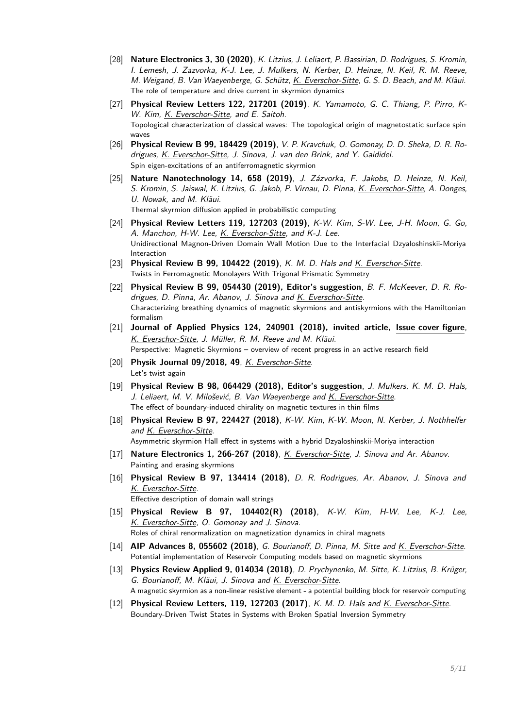- [28] **Nature Electronics 3, 30 (2020)**, K. Litzius, J. Leliaert, P. Bassirian, D. Rodrigues, S. Kromin, I. Lemesh, J. Zazvorka, K-J. Lee, J. Mulkers, N. Kerber, D. Heinze, N. Keil, R. M. Reeve, M. Weigand, B. Van Waeyenberge, G. Schütz, K. Everschor-Sitte, G. S. D. Beach, and M. Kläui. The role of temperature and drive current in skyrmion dynamics
- [27] **Physical Review Letters 122, 217201 (2019)**, K. Yamamoto, G. C. Thiang, P. Pirro, K-W. Kim, K. Everschor-Sitte, and E. Saitoh. Topological characterization of classical waves: The topological origin of magnetostatic surface spin waves
- [26] **Physical Review B 99, 184429 (2019)**, V. P. Kravchuk, O. Gomonay, D. D. Sheka, D. R. Rodrigues, K. Everschor-Sitte, J. Sinova, J. van den Brink, and Y. Gaididei. Spin eigen-excitations of an antiferromagnetic skyrmion
- [25] **Nature Nanotechnology 14, 658 (2019)**, J. Zázvorka, F. Jakobs, D. Heinze, N. Keil, S. Kromin, S. Jaiswal, K. Litzius, G. Jakob, P. Virnau, D. Pinna, K. Everschor-Sitte, A. Donges, U. Nowak, and M. Kläui. Thermal skyrmion diffusion applied in probabilistic computing
- [24] **Physical Review Letters 119, 127203 (2019)**, K-W. Kim, S-W. Lee, J-H. Moon, G. Go, A. Manchon, H-W. Lee, K. Everschor-Sitte, and K-J. Lee. Unidirectional Magnon-Driven Domain Wall Motion Due to the Interfacial Dzyaloshinskii-Moriya Interaction
- [23] **Physical Review B 99, 104422 (2019)**, K. M. D. Hals and K. Everschor-Sitte. Twists in Ferromagnetic Monolayers With Trigonal Prismatic Symmetry
- [22] **Physical Review B 99, 054430 (2019), Editor's suggestion**, B. F. McKeever, D. R. Rodrigues, D. Pinna, Ar. Abanov, J. Sinova and K. Everschor-Sitte. Characterizing breathing dynamics of magnetic skyrmions and antiskyrmions with the Hamiltonian formalism
- [21] **Journal of Applied Physics 124, 240901 (2018), invited article, Issue cover figure**, K. Everschor-Sitte, J. Müller, R. M. Reeve and M. Kläui. Perspective: Magnetic Skyrmions – overview of recent progress in an active research field
- [20] **Physik Journal 09/2018, 49**, *K. Everschor-Sitte.* Let's twist again
- [19] **Physical Review B 98, 064429 (2018), Editor's suggestion**, J. Mulkers, K. M. D. Hals, J. Leliaert, M. V. Milošević, B. Van Waeyenberge and K. Everschor-Sitte. The effect of boundary-induced chirality on magnetic textures in thin films
- [18] **Physical Review B 97, 224427 (2018)**, K-W. Kim, K-W. Moon, N. Kerber, J. Nothhelfer and K. Everschor-Sitte. Asymmetric skyrmion Hall effect in systems with a hybrid Dzyaloshinskii-Moriya interaction
- [17] **Nature Electronics 1, 266-267 (2018)**, K. Everschor-Sitte, J. Sinova and Ar. Abanov. Painting and erasing skyrmions
- [16] **Physical Review B 97, 134414 (2018)**, D. R. Rodrigues, Ar. Abanov, J. Sinova and K. Everschor-Sitte.

Effective description of domain wall strings

- [15] **Physical Review B 97, 104402(R) (2018)**, K-W. Kim, H-W. Lee, K-J. Lee, K. Everschor-Sitte, O. Gomonay and J. Sinova. Roles of chiral renormalization on magnetization dynamics in chiral magnets
- [14] **AIP Advances 8, 055602 (2018)**, G. Bourianoff, D. Pinna, M. Sitte and K. Everschor-Sitte. Potential implementation of Reservoir Computing models based on magnetic skyrmions
- [13] **Physics Review Applied 9, 014034 (2018)**, D. Prychynenko, M. Sitte, K. Litzius, B. Krüger, G. Bourianoff, M. Kläui, J. Sinova and K. Everschor-Sitte. A magnetic skyrmion as a non-linear resistive element - a potential building block for reservoir computing
- [12] **Physical Review Letters, 119, 127203 (2017)**, K. M. D. Hals and K. Everschor-Sitte. Boundary-Driven Twist States in Systems with Broken Spatial Inversion Symmetry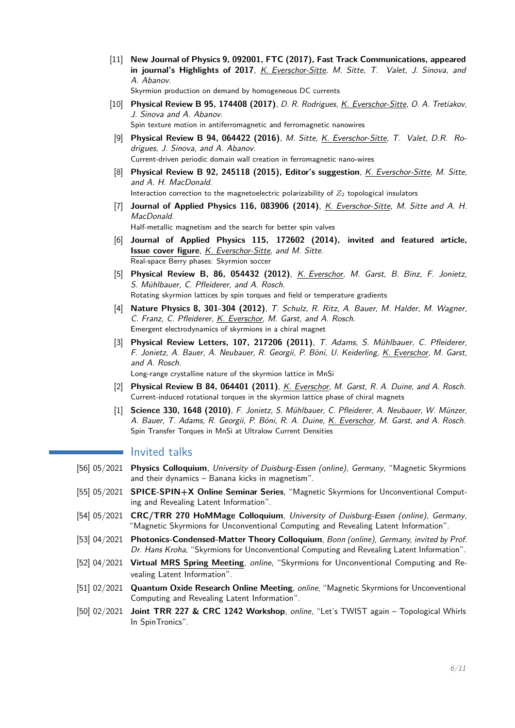[11] **New Journal of Physics 9, 092001, FTC (2017), Fast Track Communications, appeared in journal's Highlights of 2017**, K. Everschor-Sitte, M. Sitte, T. Valet, J. Sinova, and A. Abanov.

Skyrmion production on demand by homogeneous DC currents

- [10] **Physical Review B 95, 174408 (2017)**, D. R. Rodrigues, K. Everschor-Sitte, O. A. Tretiakov, J. Sinova and A. Abanov. Spin texture motion in antiferromagnetic and ferromagnetic nanowires
- [9] **Physical Review B 94, 064422 (2016)**, M. Sitte, K. Everschor-Sitte, T. Valet, D.R. Rodrigues, J. Sinova, and A. Abanov. Current-driven periodic domain wall creation in ferromagnetic nano-wires
- [8] **Physical Review B 92, 245118 (2015), Editor's suggestion**, K. Everschor-Sitte, M. Sitte, and A. H. MacDonald. Interaction correction to the magnetoelectric polarizability of *Z*<sup>2</sup> topological insulators
- [7] **Journal of Applied Physics 116, 083906 (2014)**, K. Everschor-Sitte, M. Sitte and A. H. MacDonald. Half-metallic magnetism and the search for better spin valves
- [6] **Journal of Applied Physics 115, 172602 (2014), invited and featured article, Issue cover figure**, K. Everschor-Sitte, and M. Sitte. Real-space Berry phases: Skyrmion soccer
- [5] **Physical Review B, 86, 054432 (2012)**, K. Everschor, M. Garst, B. Binz, F. Jonietz, S. Mühlbauer, C. Pfleiderer, and A. Rosch. Rotating skyrmion lattices by spin torques and field or temperature gradients
- [4] **Nature Physics 8, 301-304 (2012)**, T. Schulz, R. Ritz, A. Bauer, M. Halder, M. Wagner, C. Franz, C. Pfleiderer, K. Everschor, M. Garst, and A. Rosch. Emergent electrodynamics of skyrmions in a chiral magnet
- [3] **Physical Review Letters, 107, 217206 (2011)**, T. Adams, S. Mühlbauer, C. Pfleiderer, F. Jonietz, A. Bauer, A. Neubauer, R. Georgii, P. Böni, U. Keiderling, K. Everschor, M. Garst, and A. Rosch.

Long-range crystalline nature of the skyrmion lattice in MnSi

- [2] Physical Review B 84, 064401 (2011), *K. Everschor, M. Garst, R. A. Duine, and A. Rosch.* Current-induced rotational torques in the skyrmion lattice phase of chiral magnets
- [1] **Science 330, 1648 (2010)**, F. Jonietz, S. Mühlbauer, C. Pfleiderer, A. Neubauer, W. Münzer, A. Bauer, T. Adams, R. Georgii, P. Böni, R. A. Duine, K. Everschor, M. Garst, and A. Rosch. Spin Transfer Torques in MnSi at Ultralow Current Densities

### **Invited talks**

- [56] 05/2021 **Physics Colloquium**, University of Duisburg-Essen (online), Germany, "Magnetic Skyrmions and their dynamics – Banana kicks in magnetism".
- [55] 05/2021 **SPICE-SPIN+X Online Seminar Series**, "Magnetic Skyrmions for Unconventional Computing and Revealing Latent Information".
- [54] 05/2021 **CRC/TRR 270 HoMMage Colloquium**, University of Duisburg-Essen (online), Germany, "Magnetic Skyrmions for Unconventional Computing and Revealing Latent Information".
- [53] 04/2021 **Photonics-Condensed-Matter Theory Colloquium**, Bonn (online), Germany, invited by Prof. Dr. Hans Kroha, "Skyrmions for Unconventional Computing and Revealing Latent Information".
- [52] 04/2021 **Virtual MRS Spring Meeting**, online, "Skyrmions for Unconventional Computing and Revealing Latent Information".
- [51] 02/2021 **Quantum Oxide Research Online Meeting**, online, "Magnetic Skyrmions for Unconventional Computing and Revealing Latent Information".
- [50] 02/2021 **Joint TRR 227 & CRC 1242 Workshop**, online, "Let's TWIST again Topological Whirls In SpinTronics".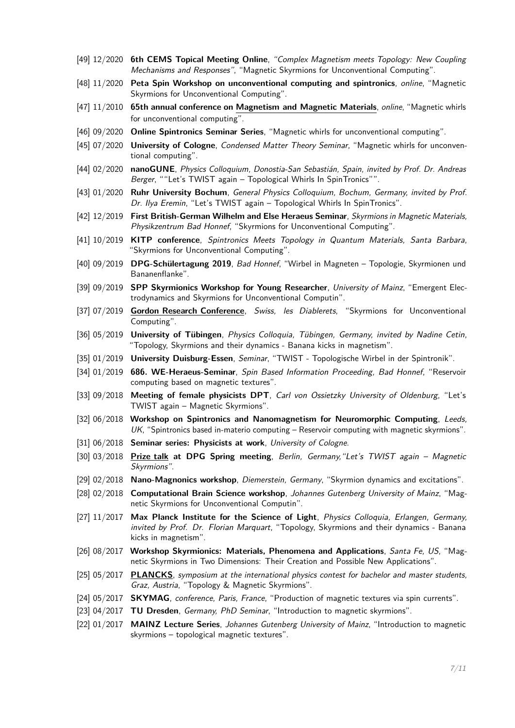- [49] 12/2020 **6th CEMS Topical Meeting Online**, "Complex Magnetism meets Topology: New Coupling Mechanisms and Responses", "Magnetic Skyrmions for Unconventional Computing".
- [48] 11/2020 **Peta Spin Workshop on unconventional computing and spintronics**, online, "Magnetic Skyrmions for Unconventional Computing".
- [47] 11/2010 **65th annual conference on Magnetism and Magnetic Materials**, online, "Magnetic whirls for unconventional computing".
- [46] 09/2020 **Online Spintronics Seminar Series**, "Magnetic whirls for unconventional computing".
- [45] 07/2020 **University of Cologne**, Condensed Matter Theory Seminar, "Magnetic whirls for unconventional computing".
- [44] 02/2020 **nanoGUNE**, Physics Colloquium, Donostia-San Sebastián, Spain, invited by Prof. Dr. Andreas Berger, ""Let's TWIST again – Topological Whirls In SpinTronics"".
- [43] 01/2020 **Ruhr University Bochum**, General Physics Colloquium, Bochum, Germany, invited by Prof. Dr. Ilya Eremin, "Let's TWIST again - Topological Whirls In SpinTronics".
- [42] 12/2019 **First British-German Wilhelm and Else Heraeus Seminar**, Skyrmions in Magnetic Materials, Physikzentrum Bad Honnef, "Skyrmions for Unconventional Computing".
- [41] 10/2019 **KITP conference**, Spintronics Meets Topology in Quantum Materials, Santa Barbara, "Skyrmions for Unconventional Computing".
- [40] 09/2019 **DPG-Schülertagung 2019**, Bad Honnef, "Wirbel in Magneten Topologie, Skyrmionen und Bananenflanke".
- [39] 09/2019 **SPP Skyrmionics Workshop for Young Researcher**, University of Mainz, "Emergent Electrodynamics and Skyrmions for Unconventional Computin".
- [37] 07/2019 **Gordon Research Conference**, Swiss, les Diablerets, "Skyrmions for Unconventional Computing".
- [36] 05/2019 **University of Tübingen**, Physics Colloquia, Tübingen, Germany, invited by Nadine Cetin, "Topology, Skyrmions and their dynamics - Banana kicks in magnetism".
- [35] 01/2019 **University Duisburg-Essen**, Seminar, "TWIST Topologische Wirbel in der Spintronik".
- [34] 01/2019 **686. WE-Heraeus-Seminar**, Spin Based Information Proceeding, Bad Honnef, "Reservoir computing based on magnetic textures".
- [33] 09/2018 **Meeting of female physicists DPT**, Carl von Ossietzky University of Oldenburg, "Let's TWIST again – Magnetic Skyrmions".
- [32] 06/2018 **Workshop on Spintronics and Nanomagnetism for Neuromorphic Computing**, Leeds,  $UK$ , "Spintronics based in-materio computing – Reservoir computing with magnetic skyrmions".
- [31] 06/2018 **Seminar series: Physicists at work**, University of Cologne.
- [30] 03/2018 **Prize talk at DPG Spring meeting**, Berlin, Germany,"Let's TWIST again Magnetic Skyrmions".
- [29] 02/2018 **Nano-Magnonics workshop**, Diemerstein, Germany, "Skyrmion dynamics and excitations".
- [28] 02/2018 **Computational Brain Science workshop**, Johannes Gutenberg University of Mainz, "Magnetic Skyrmions for Unconventional Computin".
- [27] 11/2017 **Max Planck Institute for the Science of Light**, Physics Colloquia, Erlangen, Germany, invited by Prof. Dr. Florian Marquart, "Topology, Skyrmions and their dynamics - Banana kicks in magnetism".
- [26] 08/2017 **Workshop Skyrmionics: Materials, Phenomena and Applications**, Santa Fe, US, "Magnetic Skyrmions in Two Dimensions: Their Creation and Possible New Applications".
- [25] 05/2017 **PLANCKS**, symposium at the international physics contest for bachelor and master students, Graz, Austria, "Topology & Magnetic Skyrmions".
- [24] 05/2017 **SKYMAG**, conference, Paris, France, "Production of magnetic textures via spin currents".
- [23] 04/2017 **TU Dresden**, Germany, PhD Seminar, "Introduction to magnetic skyrmions".
- [22] 01/2017 **MAINZ Lecture Series**, Johannes Gutenberg University of Mainz, "Introduction to magnetic skyrmions – topological magnetic textures".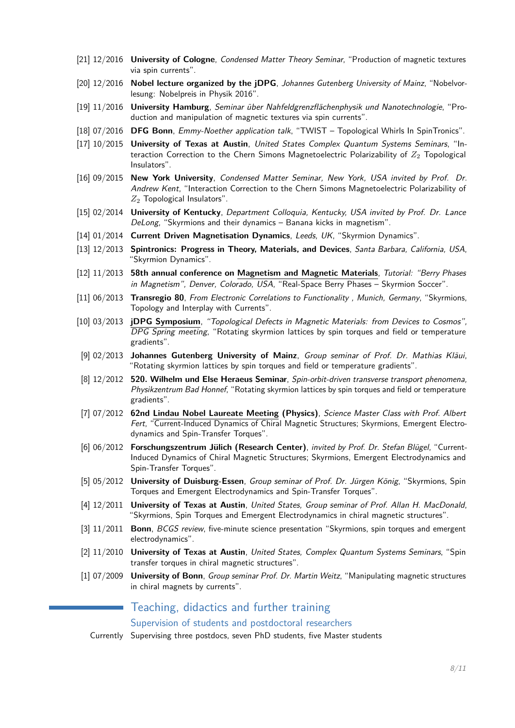- [21] 12/2016 **University of Cologne**, Condensed Matter Theory Seminar, "Production of magnetic textures via spin currents".
- [20] 12/2016 **Nobel lecture organized by the jDPG**, Johannes Gutenberg University of Mainz, "Nobelvorlesung: Nobelpreis in Physik 2016".
- [19] 11/2016 **University Hamburg**, Seminar über Nahfeldgrenzflächenphysik und Nanotechnologie, "Production and manipulation of magnetic textures via spin currents".
- [18] 07/2016 **DFG Bonn**, Emmy-Noether application talk, "TWIST Topological Whirls In SpinTronics".
- [17] 10/2015 **University of Texas at Austin**, United States Complex Quantum Systems Seminars, "Interaction Correction to the Chern Simons Magnetoelectric Polarizability of *Z*<sup>2</sup> Topological Insulators".
- [16] 09/2015 **New York University**, Condensed Matter Seminar, New York, USA invited by Prof. Dr. Andrew Kent, "Interaction Correction to the Chern Simons Magnetoelectric Polarizability of *Z*<sup>2</sup> Topological Insulators".
- [15] 02/2014 **University of Kentucky**, Department Colloquia, Kentucky, USA invited by Prof. Dr. Lance DeLong, "Skyrmions and their dynamics – Banana kicks in magnetism".
- [14] 01/2014 **Current Driven Magnetisation Dynamics**, Leeds, UK, "Skyrmion Dynamics".
- [13] 12/2013 **Spintronics: Progress in Theory, Materials, and Devices**, Santa Barbara, California, USA, "Skyrmion Dynamics".
- [12] 11/2013 **58th annual conference on Magnetism and Magnetic Materials**, Tutorial: "Berry Phases in Magnetism", Denver, Colorado, USA, "Real-Space Berry Phases – Skyrmion Soccer".
- [11] 06/2013 **Transregio 80**, From Electronic Correlations to Functionality , Munich, Germany, "Skyrmions, Topology and Interplay with Currents".
- [10] 03/2013 **jDPG Symposium**, "Topological Defects in Magnetic Materials: from Devices to Cosmos", DPG Spring meeting, "Rotating skyrmion lattices by spin torques and field or temperature gradients".
- [9] 02/2013 **Johannes Gutenberg University of Mainz**, Group seminar of Prof. Dr. Mathias Kläui, "Rotating skyrmion lattices by spin torques and field or temperature gradients".
- [8] 12/2012 **520. Wilhelm und Else Heraeus Seminar**, Spin-orbit-driven transverse transport phenomena, Physikzentrum Bad Honnef, "Rotating skyrmion lattices by spin torques and field or temperature gradients".
- [7] 07/2012 **62nd Lindau Nobel Laureate Meeting (Physics)**, Science Master Class with Prof. Albert Fert, "Current-Induced Dynamics of Chiral Magnetic Structures; Skyrmions, Emergent Electrodynamics and Spin-Transfer Torques".
- [6] 06/2012 **Forschungszentrum Jülich (Research Center)**, invited by Prof. Dr. Stefan Blügel, "Current-Induced Dynamics of Chiral Magnetic Structures; Skyrmions, Emergent Electrodynamics and Spin-Transfer Torques".
- [5] 05/2012 **University of Duisburg-Essen**, Group seminar of Prof. Dr. Jürgen König, "Skyrmions, Spin Torques and Emergent Electrodynamics and Spin-Transfer Torques".
- [4] 12/2011 **University of Texas at Austin**, United States, Group seminar of Prof. Allan H. MacDonald, "Skyrmions, Spin Torques and Emergent Electrodynamics in chiral magnetic structures".
- [3] 11/2011 **Bonn**, BCGS review, five-minute science presentation "Skyrmions, spin torques and emergent electrodynamics".
- [2] 11/2010 **University of Texas at Austin**, United States, Complex Quantum Systems Seminars, "Spin transfer torques in chiral magnetic structures".
- [1] 07/2009 **University of Bonn**, Group seminar Prof. Dr. Martin Weitz, "Manipulating magnetic structures in chiral magnets by currents".

## Teaching, didactics and further training

Supervision of students and postdoctoral researchers

Currently Supervising three postdocs, seven PhD students, five Master students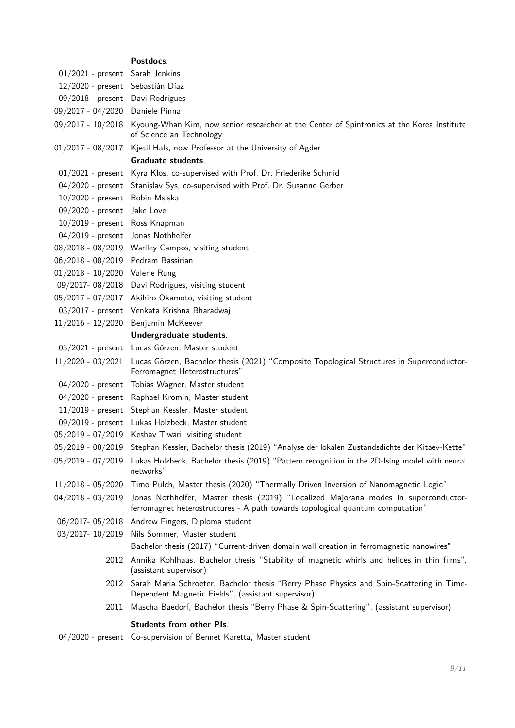## **Postdocs**. 01/2021 - present Sarah Jenkins 12/2020 - present Sebastián Díaz 09/2018 - present Davi Rodrigues 09/2017 - 04/2020 Daniele Pinna 09/2017 - 10/2018 Kyoung-Whan Kim, now senior researcher at the Center of Spintronics at the Korea Institute of Science an Technology

01/2017 - 08/2017 Kjetil Hals, now Professor at the University of Agder

**Graduate students**.

- 01/2021 present Kyra Klos, co-supervised with Prof. Dr. Friederike Schmid
- 04/2020 present Stanislav Sys, co-supervised with Prof. Dr. Susanne Gerber
- 10/2020 present Robin Msiska
- 09/2020 present Jake Love 10/2019 - present Ross Knapman
- 04/2019 present Jonas Nothhelfer
- 08/2018 08/2019 Warlley Campos, visiting student
- 06/2018 08/2019 Pedram Bassirian
- 01/2018 10/2020 Valerie Rung
- 09/2017- 08/2018 Davi Rodrigues, visiting student
- 05/2017 07/2017 Akihiro Okamoto, visiting student
- 03/2017 present Venkata Krishna Bharadwaj
- 11/2016 12/2020 Benjamin McKeever
	- **Undergraduate students**.
- 03/2021 present Lucas Görzen, Master student
- 11/2020 03/2021 Lucas Görzen, Bachelor thesis (2021) "Composite Topological Structures in Superconductor-Ferromagnet Heterostructures"
- 04/2020 present Tobias Wagner, Master student
- 04/2020 present Raphael Kromin, Master student
- 11/2019 present Stephan Kessler, Master student
- 09/2019 present Lukas Holzbeck, Master student
- 05/2019 07/2019 Keshav Tiwari, visiting student
- 05/2019 08/2019 Stephan Kessler, Bachelor thesis (2019) "Analyse der lokalen Zustandsdichte der Kitaev-Kette"
- 05/2019 07/2019 Lukas Holzbeck, Bachelor thesis (2019) "Pattern recognition in the 2D-Ising model with neural networks"
- 11/2018 05/2020 Timo Pulch, Master thesis (2020) "Thermally Driven Inversion of Nanomagnetic Logic"
- 04/2018 03/2019 Jonas Nothhelfer, Master thesis (2019) "Localized Majorana modes in superconductorferromagnet heterostructures - A path towards topological quantum computation"

06/2017- 05/2018 Andrew Fingers, Diploma student

03/2017- 10/2019 Nils Sommer, Master student

Bachelor thesis (2017) "Current-driven domain wall creation in ferromagnetic nanowires"

- 2012 Annika Kohlhaas, Bachelor thesis "Stability of magnetic whirls and helices in thin films", (assistant supervisor)
- 2012 Sarah Maria Schroeter, Bachelor thesis "Berry Phase Physics and Spin-Scattering in Time-Dependent Magnetic Fields", (assistant supervisor)
- 2011 Mascha Baedorf, Bachelor thesis "Berry Phase & Spin-Scattering", (assistant supervisor)

#### **Students from other PIs**.

04/2020 - present Co-supervision of Bennet Karetta, Master student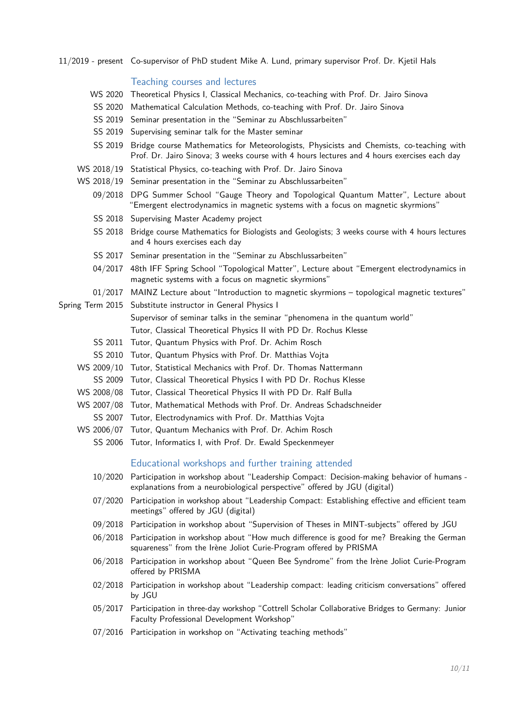11/2019 - present Co-supervisor of PhD student Mike A. Lund, primary supervisor Prof. Dr. Kjetil Hals

#### Teaching courses and lectures

- WS 2020 Theoretical Physics I, Classical Mechanics, co-teaching with Prof. Dr. Jairo Sinova
- SS 2020 Mathematical Calculation Methods, co-teaching with Prof. Dr. Jairo Sinova
- SS 2019 Seminar presentation in the "Seminar zu Abschlussarbeiten"
- SS 2019 Supervising seminar talk for the Master seminar
- SS 2019 Bridge course Mathematics for Meteorologists, Physicists and Chemists, co-teaching with Prof. Dr. Jairo Sinova; 3 weeks course with 4 hours lectures and 4 hours exercises each day
- WS 2018/19 Statistical Physics, co-teaching with Prof. Dr. Jairo Sinova
- WS 2018/19 Seminar presentation in the "Seminar zu Abschlussarbeiten"
	- 09/2018 DPG Summer School "Gauge Theory and Topological Quantum Matter", Lecture about "Emergent electrodynamics in magnetic systems with a focus on magnetic skyrmions"
	- SS 2018 Supervising Master Academy project
	- SS 2018 Bridge course Mathematics for Biologists and Geologists; 3 weeks course with 4 hours lectures and 4 hours exercises each day
	- SS 2017 Seminar presentation in the "Seminar zu Abschlussarbeiten"
	- 04/2017 48th IFF Spring School "Topological Matter", Lecture about "Emergent electrodynamics in magnetic systems with a focus on magnetic skyrmions"
	- 01/2017 MAINZ Lecture about "Introduction to magnetic skyrmions topological magnetic textures"
- Spring Term 2015 Substitute instructor in General Physics I

Supervisor of seminar talks in the seminar "phenomena in the quantum world"

Tutor, Classical Theoretical Physics II with PD Dr. Rochus Klesse

- SS 2011 Tutor, Quantum Physics with Prof. Dr. Achim Rosch
- SS 2010 Tutor, Quantum Physics with Prof. Dr. Matthias Vojta
- WS 2009/10 Tutor, Statistical Mechanics with Prof. Dr. Thomas Nattermann
	- SS 2009 Tutor, Classical Theoretical Physics I with PD Dr. Rochus Klesse
- WS 2008/08 Tutor, Classical Theoretical Physics II with PD Dr. Ralf Bulla
- WS 2007/08 Tutor, Mathematical Methods with Prof. Dr. Andreas Schadschneider
- SS 2007 Tutor, Electrodynamics with Prof. Dr. Matthias Vojta
- WS 2006/07 Tutor, Quantum Mechanics with Prof. Dr. Achim Rosch
	- SS 2006 Tutor, Informatics I, with Prof. Dr. Ewald Speckenmeyer

#### Educational workshops and further training attended

- 10/2020 Participation in workshop about "Leadership Compact: Decision-making behavior of humans explanations from a neurobiological perspective" offered by JGU (digital)
- 07/2020 Participation in workshop about "Leadership Compact: Establishing effective and efficient team meetings" offered by JGU (digital)
- 09/2018 Participation in workshop about "Supervision of Theses in MINT-subjects" offered by JGU
- 06/2018 Participation in workshop about "How much difference is good for me? Breaking the German squareness" from the Irène Joliot Curie-Program offered by PRISMA
- 06/2018 Participation in workshop about "Queen Bee Syndrome" from the Irène Joliot Curie-Program offered by PRISMA
- 02/2018 Participation in workshop about "Leadership compact: leading criticism conversations" offered by JGU
- 05/2017 Participation in three-day workshop "Cottrell Scholar Collaborative Bridges to Germany: Junior Faculty Professional Development Workshop"
- 07/2016 Participation in workshop on "Activating teaching methods"